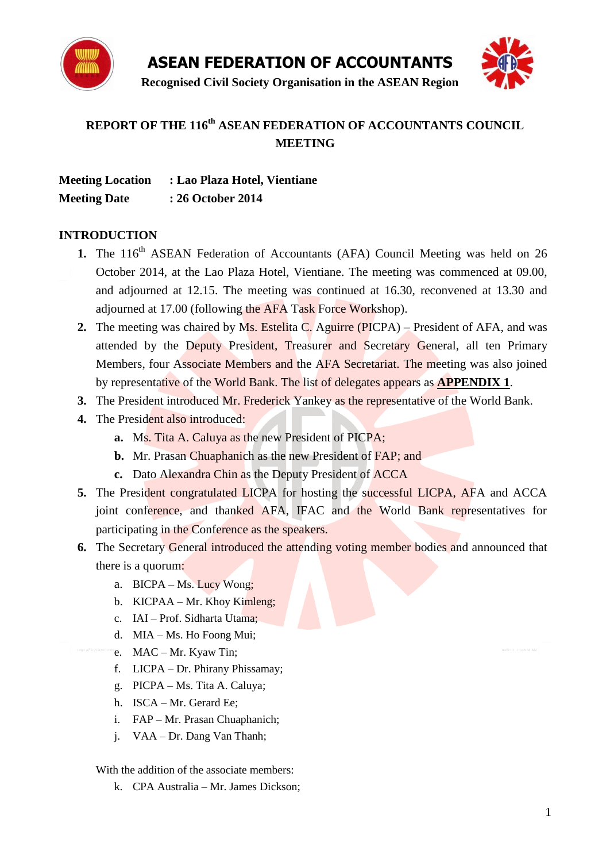



# **REPORT OF THE 116 th ASEAN FEDERATION OF ACCOUNTANTS COUNCIL MEETING**

| <b>Meeting Location</b> | : Lao Plaza Hotel, Vientiane |
|-------------------------|------------------------------|
| <b>Meeting Date</b>     | : 26 October 2014            |

#### **INTRODUCTION**

- 1. The 116<sup>th</sup> ASEAN Federation of Accountants (AFA) Council Meeting was held on 26 October 2014, at the Lao Plaza Hotel, Vientiane. The meeting was commenced at 09.00, and adjourned at 12.15. The meeting was continued at 16.30, reconvened at 13.30 and adjourned at 17.00 (following the AFA Task Force Workshop).
- **2.** The meeting was chaired by Ms. Estelita C. Aguirre (PICPA) President of AFA, and was attended by the Deputy President, Treasurer and Secretary General, all ten Primary Members, four Associate Members and the AFA Secretariat. The meeting was also joined by representative of the World Bank. The list of delegates appears as **APPENDIX 1**.
- **3.** The President introduced Mr. Frederick Yankey as the representative of the World Bank.
- **4.** The President also introduced:
	- **a.** Ms. Tita A. Caluya as the new President of PICPA;
	- **b.** Mr. Prasan Chuaphanich as the new President of FAP; and
	- **c.** Dato Alexandra Chin as the Deputy President of ACCA
- **5.** The President congratulated LICPA for hosting the successful LICPA, AFA and ACCA joint conference, and thanked AFA, IFAC and the World Bank representatives for participating in the Conference as the speakers.
- **6.** The Secretary General introduced the attending voting member bodies and announced that there is a quorum:
	- a. BICPA Ms. Lucy Wong;
	- b. KICPAA Mr. Khoy Kimleng;
	- c. IAI Prof. Sidharta Utama;
	- d. MIA Ms. Ho Foong Mui;
	- e. MAC Mr. Kyaw Tin;
	- f. LICPA Dr. Phirany Phissamay;
	- g. PICPA Ms. Tita A. Caluya;
	- h. ISCA Mr. Gerard Ee;
	- i. FAP Mr. Prasan Chuaphanich;
	- j. VAA Dr. Dang Van Thanh;

With the addition of the associate members:

k. CPA Australia – Mr. James Dickson;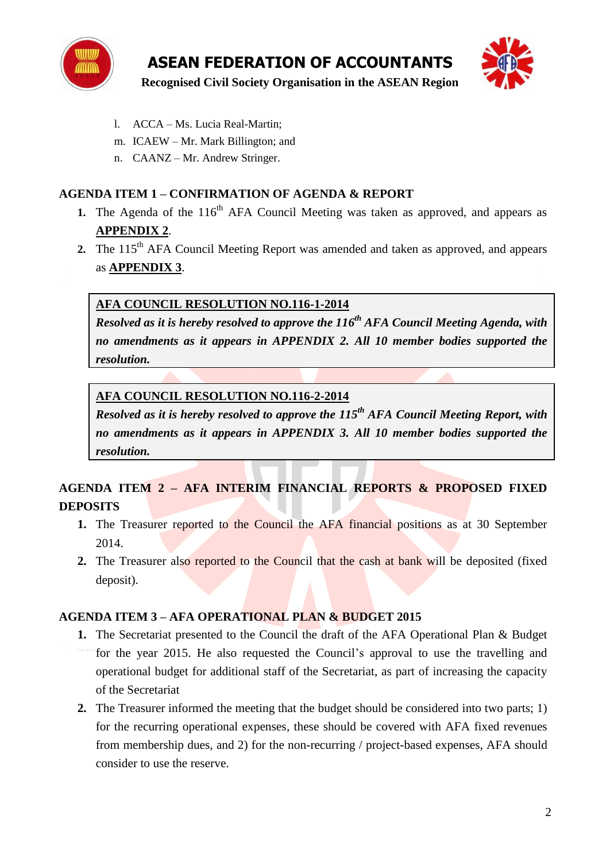



- l. ACCA Ms. Lucia Real-Martin;
- m. ICAEW Mr. Mark Billington; and
- n. CAANZ Mr. Andrew Stringer.

## **AGENDA ITEM 1 – CONFIRMATION OF AGENDA & REPORT**

- 1. The Agenda of the 116<sup>th</sup> AFA Council Meeting was taken as approved, and appears as **APPENDIX 2**.
- **2.** The 115<sup>th</sup> AFA Council Meeting Report was amended and taken as approved, and appears as **APPENDIX 3**.

# **AFA COUNCIL RESOLUTION NO.116-1-2014**

*Resolved as it is hereby resolved to approve the 116 th AFA Council Meeting Agenda, with no amendments as it appears in APPENDIX 2. All 10 member bodies supported the resolution.*

### **AFA COUNCIL RESOLUTION NO.116-2-2014**

*Resolved as it is hereby resolved to approve the 115 th AFA Council Meeting Report, with no amendments as it appears in APPENDIX 3. All 10 member bodies supported the resolution.*

# **AGENDA ITEM 2 – AFA INTERIM FINANCIAL REPORTS & PROPOSED FIXED DEPOSITS**

- **1.** The Treasurer reported to the Council the AFA financial positions as at 30 September 2014.
- **2.** The Treasurer also reported to the Council that the cash at bank will be deposited (fixed deposit).

#### **AGENDA ITEM 3 – AFA OPERATIONAL PLAN & BUDGET 2015**

- **1.** The Secretariat presented to the Council the draft of the AFA Operational Plan & Budget for the year 2015. He also requested the Council's approval to use the travelling and operational budget for additional staff of the Secretariat, as part of increasing the capacity of the Secretariat
- **2.** The Treasurer informed the meeting that the budget should be considered into two parts; 1) for the recurring operational expenses, these should be covered with AFA fixed revenues from membership dues, and 2) for the non-recurring / project-based expenses, AFA should consider to use the reserve.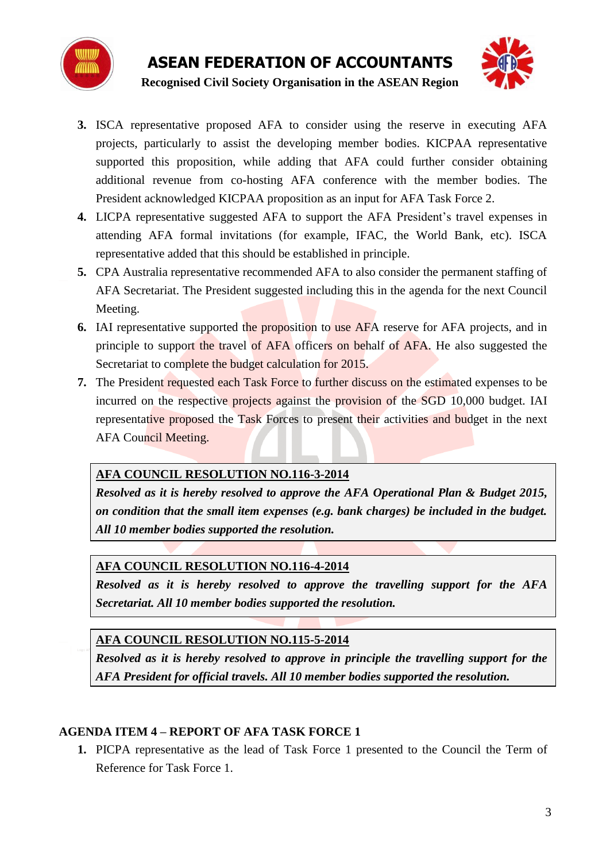



- **3.** ISCA representative proposed AFA to consider using the reserve in executing AFA projects, particularly to assist the developing member bodies. KICPAA representative supported this proposition, while adding that AFA could further consider obtaining additional revenue from co-hosting AFA conference with the member bodies. The President acknowledged KICPAA proposition as an input for AFA Task Force 2.
- **4.** LICPA representative suggested AFA to support the AFA President's travel expenses in attending AFA formal invitations (for example, IFAC, the World Bank, etc). ISCA representative added that this should be established in principle.
- **5.** CPA Australia representative recommended AFA to also consider the permanent staffing of AFA Secretariat. The President suggested including this in the agenda for the next Council Meeting.
- **6.** IAI representative supported the proposition to use AFA reserve for AFA projects, and in principle to support the travel of AFA officers on behalf of AFA. He also suggested the Secretariat to complete the budget calculation for 2015.
- **7.** The President requested each Task Force to further discuss on the estimated expenses to be incurred on the respective projects against the provision of the SGD 10,000 budget. IAI representative proposed the Task Forces to present their activities and budget in the next AFA Council Meeting.

# **AFA COUNCIL RESOLUTION NO.116-3-2014**

*Resolved as it is hereby resolved to approve the AFA Operational Plan & Budget 2015, on condition that the small item expenses (e.g. bank charges) be included in the budget. All 10 member bodies supported the resolution.*

# **AFA COUNCIL RESOLUTION NO.116-4-2014**

*Resolved as it is hereby resolved to approve the travelling support for the AFA Secretariat. All 10 member bodies supported the resolution.*

**AFA COUNCIL RESOLUTION NO.115-5-2014**

*Resolved as it is hereby resolved to approve in principle the travelling support for the AFA President for official travels. All 10 member bodies supported the resolution.*

# **AGENDA ITEM 4 – REPORT OF AFA TASK FORCE 1**

**1.** PICPA representative as the lead of Task Force 1 presented to the Council the Term of Reference for Task Force 1.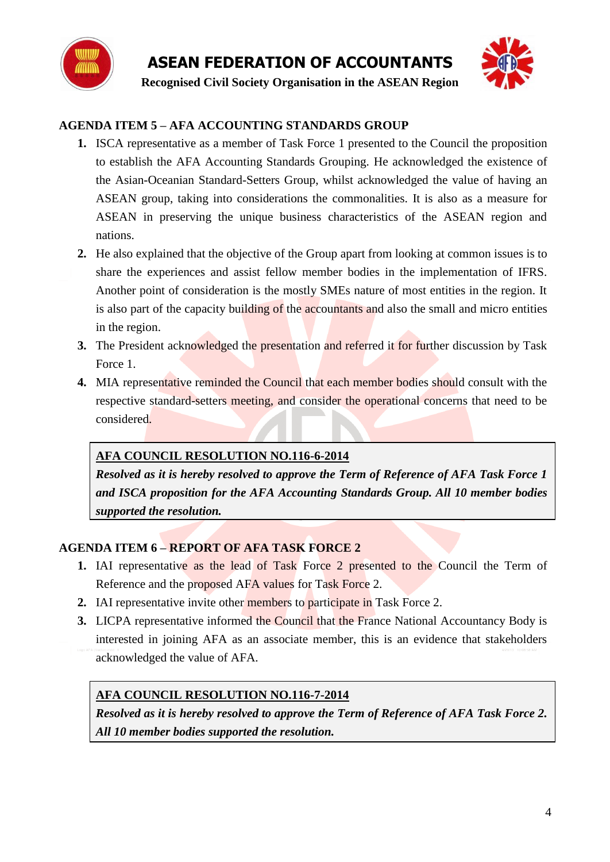



# **AGENDA ITEM 5 – AFA ACCOUNTING STANDARDS GROUP**

- **1.** ISCA representative as a member of Task Force 1 presented to the Council the proposition to establish the AFA Accounting Standards Grouping. He acknowledged the existence of the Asian-Oceanian Standard-Setters Group, whilst acknowledged the value of having an ASEAN group, taking into considerations the commonalities. It is also as a measure for ASEAN in preserving the unique business characteristics of the ASEAN region and nations.
- **2.** He also explained that the objective of the Group apart from looking at common issues is to share the experiences and assist fellow member bodies in the implementation of IFRS. Another point of consideration is the mostly SMEs nature of most entities in the region. It is also part of the capacity building of the accountants and also the small and micro entities in the region.
- **3.** The President acknowledged the presentation and referred it for further discussion by Task Force 1.
- **4.** MIA representative reminded the Council that each member bodies should consult with the respective standard-setters meeting, and consider the operational concerns that need to be considered.

# **AFA COUNCIL RESOLUTION NO.116-6-2014**

*Resolved as it is hereby resolved to approve the Term of Reference of AFA Task Force 1 and ISCA proposition for the AFA Accounting Standards Group. All 10 member bodies supported the resolution.*

# **AGENDA ITEM 6 – REPORT OF AFA TASK FORCE 2**

- **1.** IAI representative as the lead of Task Force 2 presented to the Council the Term of Reference and the proposed AFA values for Task Force 2.
- **2.** IAI representative invite other members to participate in Task Force 2.
- **3.** LICPA representative informed the Council that the France National Accountancy Body is interested in joining AFA as an associate member, this is an evidence that stakeholders acknowledged the value of AFA.

# **AFA COUNCIL RESOLUTION NO.116-7-2014**

*Resolved as it is hereby resolved to approve the Term of Reference of AFA Task Force 2. All 10 member bodies supported the resolution.*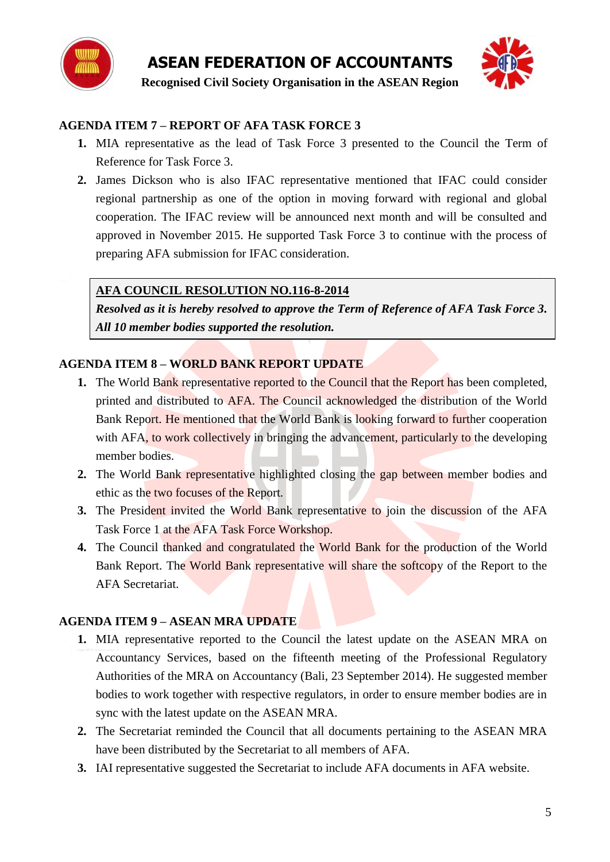



# **AGENDA ITEM 7 – REPORT OF AFA TASK FORCE 3**

- **1.** MIA representative as the lead of Task Force 3 presented to the Council the Term of Reference for Task Force 3.
- **2.** James Dickson who is also IFAC representative mentioned that IFAC could consider regional partnership as one of the option in moving forward with regional and global cooperation. The IFAC review will be announced next month and will be consulted and approved in November 2015. He supported Task Force 3 to continue with the process of preparing AFA submission for IFAC consideration.

# **AFA COUNCIL RESOLUTION NO.116-8-2014**

*Resolved as it is hereby resolved to approve the Term of Reference of AFA Task Force 3. All 10 member bodies supported the resolution.*

# **AGENDA ITEM 8 – WORLD BANK REPORT UPDATE**

- **1.** The World Bank representative reported to the Council that the Report has been completed, printed and distributed to AFA. The Council acknowledged the distribution of the World Bank Report. He mentioned that the World Bank is looking forward to further cooperation with AFA, to work collectively in bringing the advancement, particularly to the developing member bodies.
- **2.** The World Bank representative highlighted closing the gap between member bodies and ethic as the two focuses of the Report.
- **3.** The President invited the World Bank representative to join the discussion of the AFA Task Force 1 at the AFA Task Force Workshop.
- **4.** The Council thanked and congratulated the World Bank for the production of the World Bank Report. The World Bank representative will share the softcopy of the Report to the AFA Secretariat.

# **AGENDA ITEM 9 – ASEAN MRA UPDATE**

- **1.** MIA representative reported to the Council the latest update on the ASEAN MRA on Accountancy Services, based on the fifteenth meeting of the Professional Regulatory Authorities of the MRA on Accountancy (Bali, 23 September 2014). He suggested member bodies to work together with respective regulators, in order to ensure member bodies are in sync with the latest update on the ASEAN MRA.
- **2.** The Secretariat reminded the Council that all documents pertaining to the ASEAN MRA have been distributed by the Secretariat to all members of AFA.
- **3.** IAI representative suggested the Secretariat to include AFA documents in AFA website.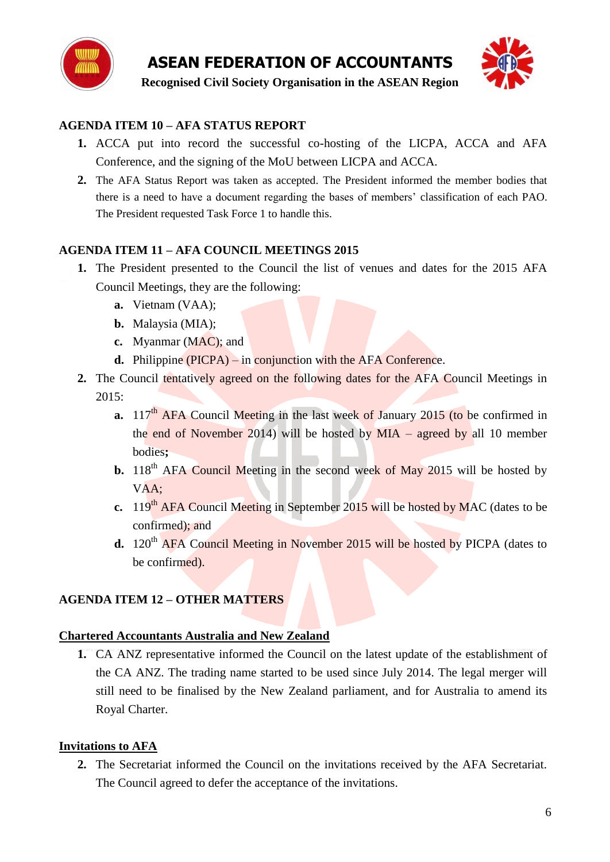



# **AGENDA ITEM 10 – AFA STATUS REPORT**

- **1.** ACCA put into record the successful co-hosting of the LICPA, ACCA and AFA Conference, and the signing of the MoU between LICPA and ACCA.
- **2.** The AFA Status Report was taken as accepted. The President informed the member bodies that there is a need to have a document regarding the bases of members" classification of each PAO. The President requested Task Force 1 to handle this.

# **AGENDA ITEM 11 – AFA COUNCIL MEETINGS 2015**

- **1.** The President presented to the Council the list of venues and dates for the 2015 AFA Council Meetings, they are the following:
	- **a.** Vietnam (VAA);
	- **b.** Malaysia (MIA);
	- **c.** Myanmar (MAC); and
	- **d.** Philippine (PICPA) in conjunction with the AFA Conference.
- **2.** The Council tentatively agreed on the following dates for the AFA Council Meetings in 2015:
	- **a.** 117<sup>th</sup> AFA Council Meeting in the last week of January 2015 (to be confirmed in the end of November 2014) will be hosted by MIA – agreed by all 10 member bodies**;**
	- **b.** 118<sup>th</sup> AFA Council Meeting in the second week of May 2015 will be hosted by  $VAA$ :
	- **c.** 119<sup>th</sup> AFA Council Meeting in September 2015 will be hosted by MAC (dates to be confirmed); and
	- **d.** 120<sup>th</sup> AFA Council Meeting in November 2015 will be hosted by PICPA (dates to be confirmed).

# **AGENDA ITEM 12 – OTHER MATTERS**

#### **Chartered Accountants Australia and New Zealand**

**1.** CA ANZ representative informed the Council on the latest update of the establishment of the CA ANZ. The trading name started to be used since July 2014. The legal merger will still need to be finalised by the New Zealand parliament, and for Australia to amend its Royal Charter.

# **Invitations to AFA**

**2.** The Secretariat informed the Council on the invitations received by the AFA Secretariat. The Council agreed to defer the acceptance of the invitations.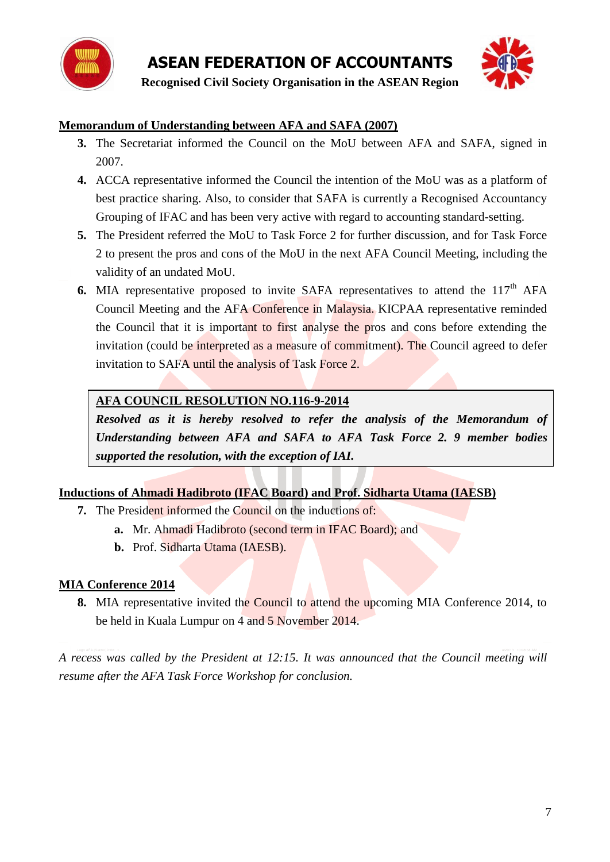



# **Memorandum of Understanding between AFA and SAFA (2007)**

- **3.** The Secretariat informed the Council on the MoU between AFA and SAFA, signed in 2007.
- **4.** ACCA representative informed the Council the intention of the MoU was as a platform of best practice sharing. Also, to consider that SAFA is currently a Recognised Accountancy Grouping of IFAC and has been very active with regard to accounting standard-setting.
- **5.** The President referred the MoU to Task Force 2 for further discussion, and for Task Force 2 to present the pros and cons of the MoU in the next AFA Council Meeting, including the validity of an undated MoU.
- **6.** MIA representative proposed to invite SAFA representatives to attend the 117<sup>th</sup> AFA Council Meeting and the AFA Conference in Malaysia. KICPAA representative reminded the Council that it is important to first analyse the pros and cons before extending the invitation (could be interpreted as a measure of commitment). The Council agreed to defer invitation to SAFA until the analysis of Task Force 2.

# **AFA COUNCIL RESOLUTION NO.116-9-2014**

*Resolved as it is hereby resolved to refer the analysis of the Memorandum of Understanding between AFA and SAFA to AFA Task Force 2. 9 member bodies supported the resolution, with the exception of IAI.*

# **Inductions of Ahmadi Hadibroto (IFAC Board) and Prof. Sidharta Utama (IAESB)**

- **7.** The President informed the Council on the inductions of:
	- **a.** Mr. Ahmadi Hadibroto (second term in IFAC Board); and
	- **b.** Prof. Sidharta Utama (IAESB).

# **MIA Conference 2014**

**8.** MIA representative invited the Council to attend the upcoming MIA Conference 2014, to be held in Kuala Lumpur on 4 and 5 November 2014.

*A recess was called by the President at 12:15. It was announced that the Council meeting will resume after the AFA Task Force Workshop for conclusion.*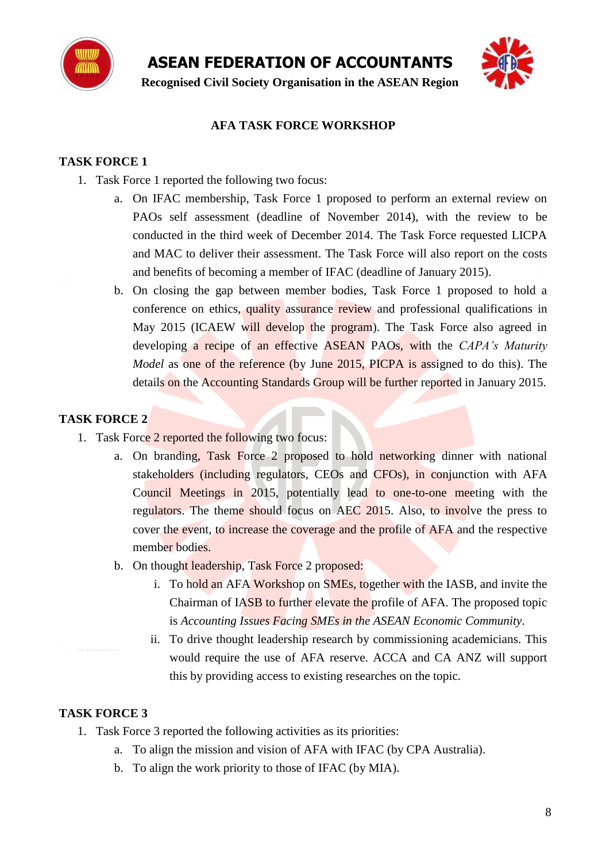

**Recognised Civil Society Organisation in the ASEAN Region**



### **AFA TASK FORCE WORKSHOP**

#### **TASK FORCE 1**

- 1. Task Force 1 reported the following two focus:
	- a. On IFAC membership, Task Force 1 proposed to perform an external review on PAOs self assessment (deadline of November 2014), with the review to be conducted in the third week of December 2014. The Task Force requested LICPA and MAC to deliver their assessment. The Task Force will also report on the costs and benefits of becoming a member of IFAC (deadline of January 2015).
	- b. On closing the gap between member bodies, Task Force 1 proposed to hold a conference on ethics, quality assurance review and professional qualifications in May 2015 (ICAEW will develop the program). The Task Force also agreed in developing a recipe of an effective ASEAN PAOs, with the *CAPA's Maturity Model* as one of the reference (by June 2015, PICPA is assigned to do this). The details on the Accounting Standards Group will be further reported in January 2015.

### **TASK FORCE 2**

- 1. Task Force 2 reported the following two focus:
	- a. On branding, Task Force 2 proposed to hold networking dinner with national stakeholders (including regulators, CEOs and CFOs), in conjunction with AFA Council Meetings in 2015, potentially lead to one-to-one meeting with the regulators. The theme should focus on AEC 2015. Also, to involve the press to cover the event, to increase the coverage and the profile of AFA and the respective member bodies.
	- b. On thought leadership, Task Force 2 proposed:
		- i. To hold an AFA Workshop on SMEs, together with the IASB, and invite the Chairman of IASB to further elevate the profile of AFA. The proposed topic is *Accounting Issues Facing SMEs in the ASEAN Economic Community*.
		- ii. To drive thought leadership research by commissioning academicians. This would require the use of AFA reserve. ACCA and CA ANZ will support this by providing access to existing researches on the topic.

#### **TASK FORCE 3**

- 1. Task Force 3 reported the following activities as its priorities:
	- a. To align the mission and vision of AFA with IFAC (by CPA Australia).
	- b. To align the work priority to those of IFAC (by MIA).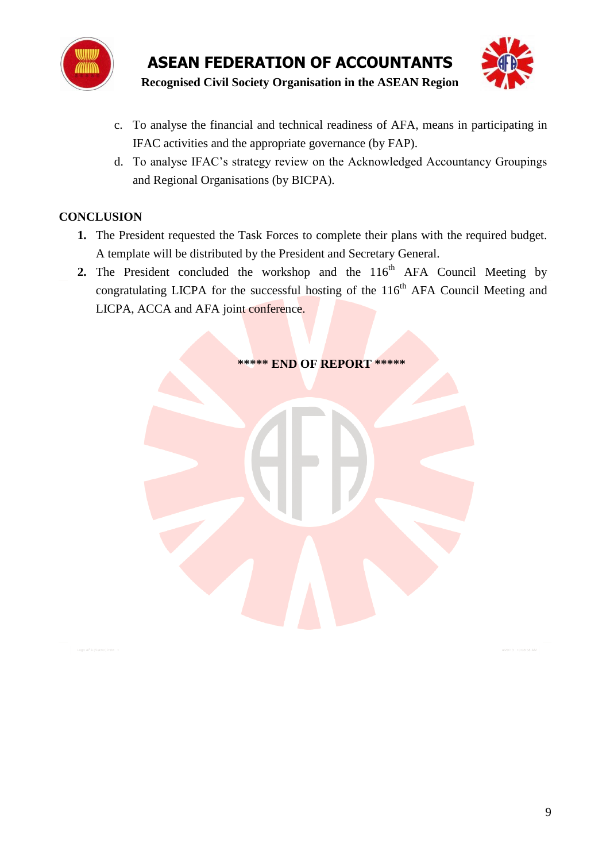



- c. To analyse the financial and technical readiness of AFA, means in participating in IFAC activities and the appropriate governance (by FAP).
- d. To analyse IFAC"s strategy review on the Acknowledged Accountancy Groupings and Regional Organisations (by BICPA).

# **CONCLUSION**

- **1.** The President requested the Task Forces to complete their plans with the required budget. A template will be distributed by the President and Secretary General.
- **2.** The President concluded the workshop and the  $116<sup>th</sup>$  AFA Council Meeting by congratulating LICPA for the successful hosting of the  $116<sup>th</sup>$  AFA Council Meeting and LICPA, ACCA and AFA joint conference.

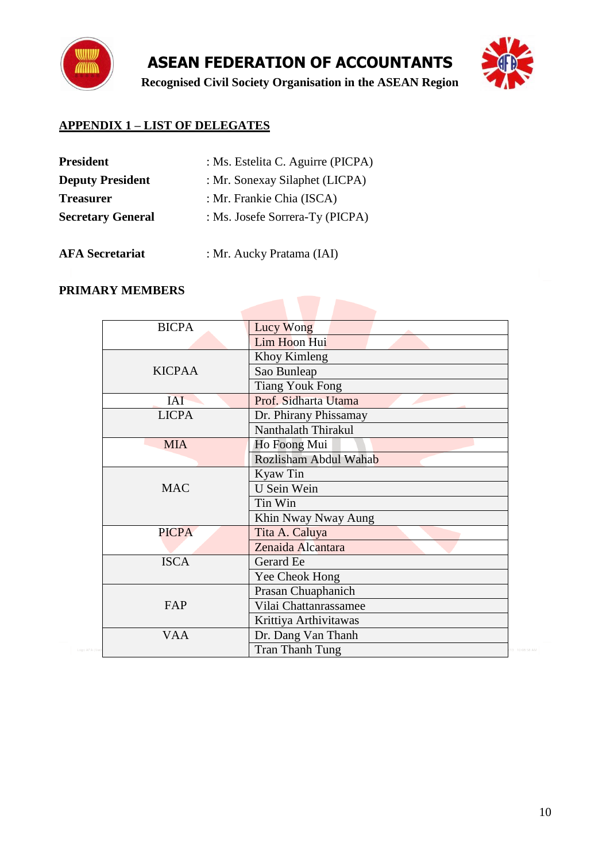

**Recognised Civil Society Organisation in the ASEAN Region**



# **APPENDIX 1 – LIST OF DELEGATES**

| <b>President</b>         | : Ms. Estelita C. Aguirre (PICPA) |
|--------------------------|-----------------------------------|
| <b>Deputy President</b>  | : Mr. Sonexay Silaphet (LICPA)    |
| <b>Treasurer</b>         | : Mr. Frankie Chia (ISCA)         |
| <b>Secretary General</b> | : Ms. Josefe Sorrera-Ty (PICPA)   |
|                          |                                   |

**AFA Secretariat** : Mr. Aucky Pratama (IAI)

# **PRIMARY MEMBERS**

| <b>BICPA</b>  | Lucy Wong              |
|---------------|------------------------|
|               | Lim Hoon Hui           |
|               | Khoy Kimleng           |
| <b>KICPAA</b> | Sao Bunleap            |
|               | <b>Tiang Youk Fong</b> |
| <b>IAI</b>    | Prof. Sidharta Utama   |
| <b>LICPA</b>  | Dr. Phirany Phissamay  |
|               | Nanthalath Thirakul    |
| <b>MIA</b>    | Ho Foong Mui           |
|               | Rozlisham Abdul Wahab  |
|               | Kyaw Tin               |
| <b>MAC</b>    | U Sein Wein            |
|               | Tin Win                |
|               | Khin Nway Nway Aung    |
| <b>PICPA</b>  | Tita A. Caluya         |
|               | Zenaida Alcantara      |
| <b>ISCA</b>   | Gerard Ee              |
|               | Yee Cheok Hong         |
|               | Prasan Chuaphanich     |
| FAP           | Vilai Chattanrassamee  |
|               | Krittiya Arthivitawas  |
| <b>VAA</b>    | Dr. Dang Van Thanh     |
|               | <b>Tran Thanh Tung</b> |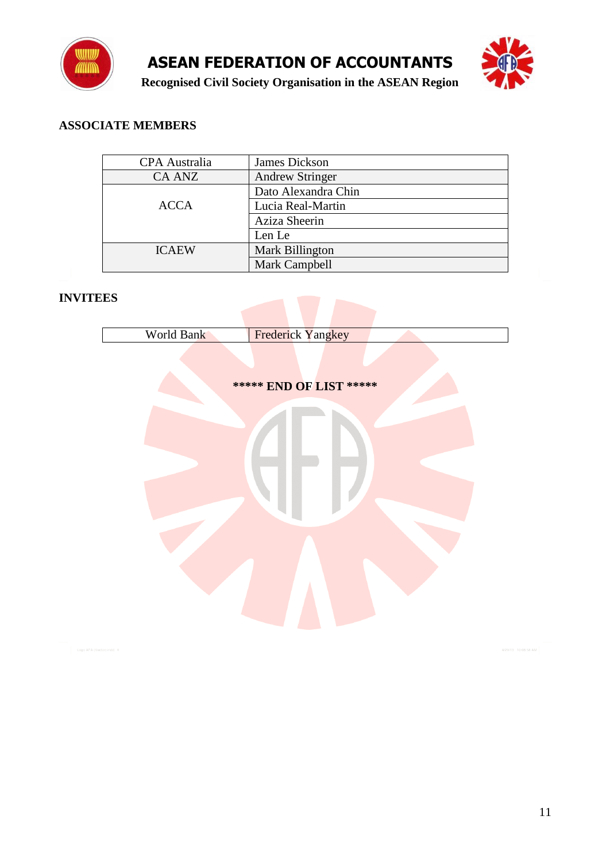



## **ASSOCIATE MEMBERS**

| <b>CPA</b> Australia | <b>James Dickson</b>   |
|----------------------|------------------------|
| <b>CA ANZ</b>        | <b>Andrew Stringer</b> |
|                      | Dato Alexandra Chin    |
| <b>ACCA</b>          | Lucia Real-Martin      |
|                      | Aziza Sheerin          |
|                      | Len Le                 |
| <b>ICAEW</b>         | Mark Billington        |
|                      | Mark Campbell          |

## **INVITEES**

| World Bank  |                                              |
|-------------|----------------------------------------------|
|             | Frederick Yangkey<br>***** END OF LIST ***** |
|             |                                              |
| tor).indd 1 |                                              |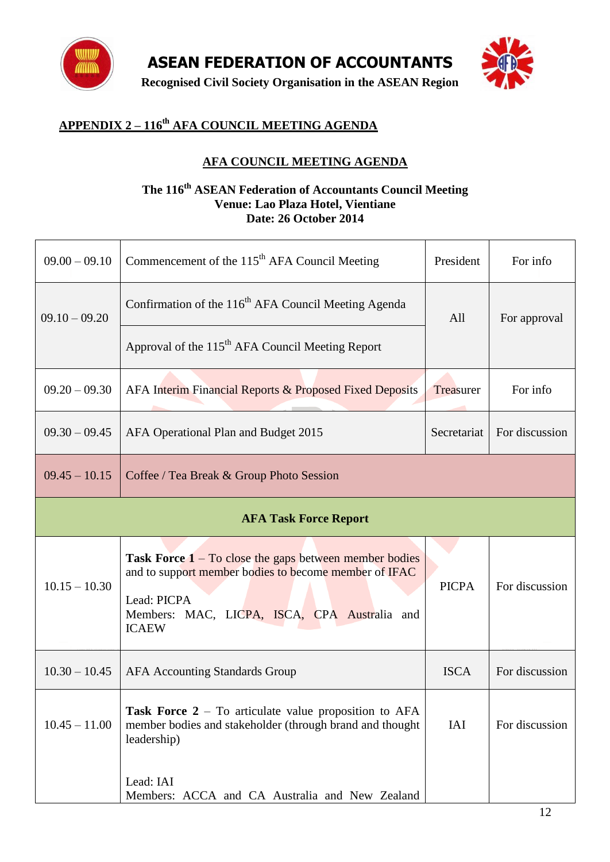

**Recognised Civil Society Organisation in the ASEAN Region**



# **APPENDIX 2 – 116 th AFA COUNCIL MEETING AGENDA**

# **AFA COUNCIL MEETING AGENDA**

#### **The 116th ASEAN Federation of Accountants Council Meeting Venue: Lao Plaza Hotel, Vientiane Date: 26 October 2014**

| $09.00 - 09.10$                                             | Commencement of the 115 <sup>th</sup> AFA Council Meeting                                                                                                                                                          | President    | For info       |
|-------------------------------------------------------------|--------------------------------------------------------------------------------------------------------------------------------------------------------------------------------------------------------------------|--------------|----------------|
| $09.10 - 09.20$                                             | Confirmation of the 116 <sup>th</sup> AFA Council Meeting Agenda                                                                                                                                                   | All          | For approval   |
|                                                             | Approval of the 115 <sup>th</sup> AFA Council Meeting Report                                                                                                                                                       |              |                |
| $09.20 - 09.30$                                             | AFA Interim Financial Reports & Proposed Fixed Deposits                                                                                                                                                            | Treasurer    | For info       |
| $09.30 - 09.45$                                             | AFA Operational Plan and Budget 2015                                                                                                                                                                               | Secretariat  | For discussion |
| $09.45 - 10.15$<br>Coffee / Tea Break & Group Photo Session |                                                                                                                                                                                                                    |              |                |
| <b>AFA Task Force Report</b>                                |                                                                                                                                                                                                                    |              |                |
| $10.15 - 10.30$                                             | <b>Task Force <math>1 - To</math></b> close the gaps between member bodies<br>and to support member bodies to become member of IFAC<br>Lead: PICPA<br>Members: MAC, LICPA, ISCA, CPA Australia and<br><b>ICAEW</b> | <b>PICPA</b> | For discussion |
| $10.30 - 10.45$                                             | <b>AFA Accounting Standards Group</b>                                                                                                                                                                              | <b>ISCA</b>  | For discussion |
| $10.45 - 11.00$                                             | <b>Task Force 2</b> – To articulate value proposition to $AFA$<br>member bodies and stakeholder (through brand and thought<br>leadership)                                                                          | IAI          | For discussion |
|                                                             | Lead: IAI<br>Members: ACCA and CA Australia and New Zealand                                                                                                                                                        |              |                |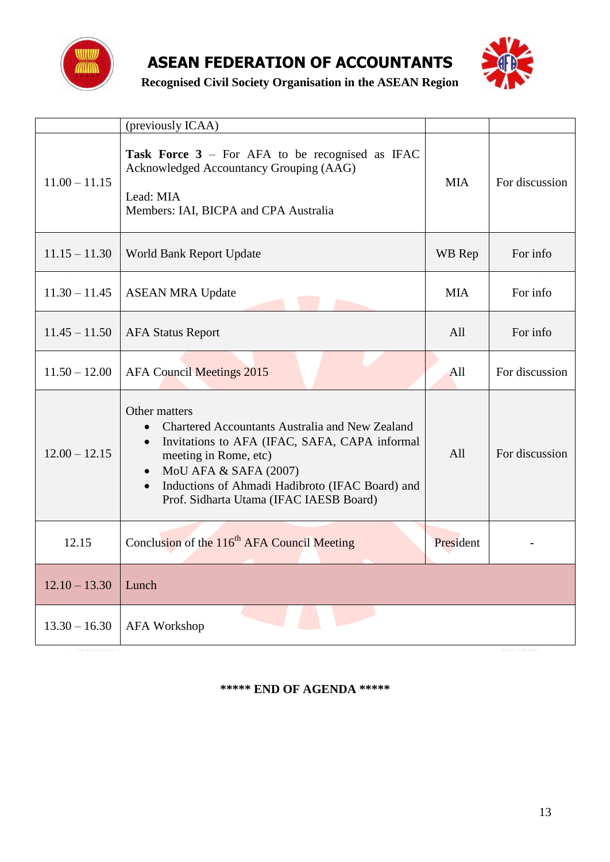



**Recognised Civil Society Organisation in the ASEAN Region**

|                 | (previously ICAA)                                                                                                                                                                                                                                                                                        |            |                |
|-----------------|----------------------------------------------------------------------------------------------------------------------------------------------------------------------------------------------------------------------------------------------------------------------------------------------------------|------------|----------------|
| $11.00 - 11.15$ | Task Force 3 - For AFA to be recognised as IFAC<br>Acknowledged Accountancy Grouping (AAG)<br>Lead: MIA<br>Members: IAI, BICPA and CPA Australia                                                                                                                                                         | <b>MIA</b> | For discussion |
| $11.15 - 11.30$ | World Bank Report Update                                                                                                                                                                                                                                                                                 | WB Rep     | For info       |
| $11.30 - 11.45$ | <b>ASEAN MRA Update</b>                                                                                                                                                                                                                                                                                  | <b>MIA</b> | For info       |
| $11.45 - 11.50$ | <b>AFA Status Report</b>                                                                                                                                                                                                                                                                                 | All        | For info       |
| $11.50 - 12.00$ | <b>AFA Council Meetings 2015</b>                                                                                                                                                                                                                                                                         | All        | For discussion |
| $12.00 - 12.15$ | Other matters<br>Chartered Accountants Australia and New Zealand<br>Invitations to AFA (IFAC, SAFA, CAPA informal<br>$\bullet$<br>meeting in Rome, etc)<br>MoU AFA & SAFA (2007)<br>$\bullet$<br>Inductions of Ahmadi Hadibroto (IFAC Board) and<br>$\bullet$<br>Prof. Sidharta Utama (IFAC IAESB Board) | All        | For discussion |
| 12.15           | Conclusion of the 116 <sup>th</sup> AFA Council Meeting                                                                                                                                                                                                                                                  | President  |                |
| $12.10 - 13.30$ | Lunch                                                                                                                                                                                                                                                                                                    |            |                |
| $13.30 - 16.30$ | <b>AFA Workshop</b>                                                                                                                                                                                                                                                                                      |            |                |

#### **\*\*\*\*\* END OF AGENDA \*\*\*\*\***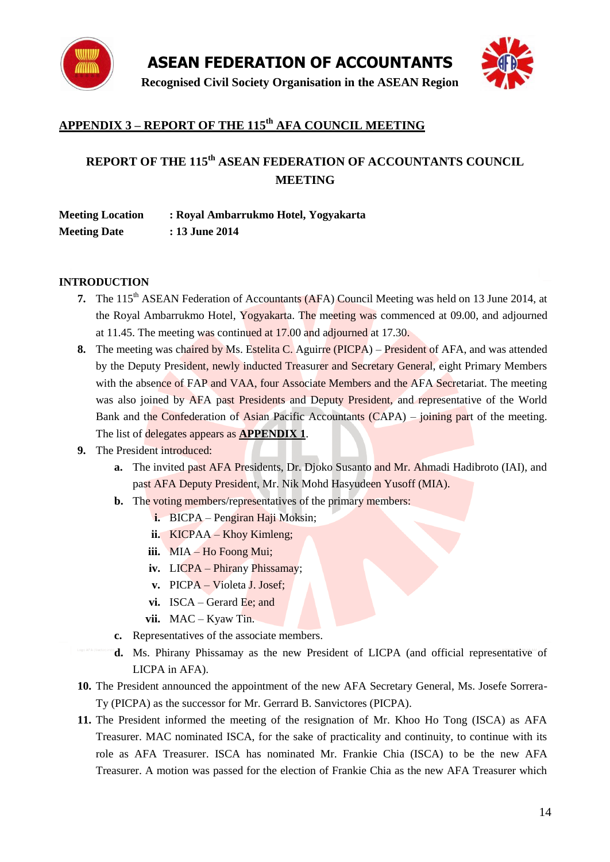



# **APPENDIX 3 – REPORT OF THE 115 th AFA COUNCIL MEETING**

# **REPORT OF THE 115th ASEAN FEDERATION OF ACCOUNTANTS COUNCIL MEETING**

| <b>Meeting Location</b> | : Royal Ambarrukmo Hotel, Yogyakarta |
|-------------------------|--------------------------------------|
| <b>Meeting Date</b>     | : 13 June 2014                       |

#### **INTRODUCTION**

- **7.** The 115<sup>th</sup> ASEAN Federation of Accountants (AFA) Council Meeting was held on 13 June 2014, at the Royal Ambarrukmo Hotel, Yogyakarta. The meeting was commenced at 09.00, and adjourned at 11.45. The meeting was continued at 17.00 and adjourned at 17.30.
- **8.** The meeting was chaired by Ms. Estelita C. Aguirre (PICPA) President of AFA, and was attended by the Deputy President, newly inducted Treasurer and Secretary General, eight Primary Members with the absence of FAP and VAA, four Associate Members and the AFA Secretariat. The meeting was also joined by AFA past Presidents and Deputy President, and representative of the World Bank and the Confederation of Asian Pacific Accountants (CAPA) – joining part of the meeting. The list of delegates appears as **APPENDIX 1**.
- **9.** The President introduced:
	- **a.** The invited past AFA Presidents, Dr. Djoko Susanto and Mr. Ahmadi Hadibroto (IAI), and past AFA Deputy President, Mr. Nik Mohd Hasyudeen Yusoff (MIA).
	- **b.** The voting members/representatives of the primary members:
		- **i.** BICPA Pengiran Haji Moksin;
		- **ii.** KICPAA Khoy Kimleng;
		- **iii.** MIA Ho Foong Mui;
		- **iv.** LICPA Phirany Phissamay;
		- **v.** PICPA Violeta J. Josef;
		- **vi.** ISCA Gerard Ee; and
		- **vii.** MAC Kyaw Tin.
	- **c.** Representatives of the associate members.
	- **d.** Ms. Phirany Phissamay as the new President of LICPA (and official representative of LICPA in AFA).
- **10.** The President announced the appointment of the new AFA Secretary General, Ms. Josefe Sorrera-Ty (PICPA) as the successor for Mr. Gerrard B. Sanvictores (PICPA).
- **11.** The President informed the meeting of the resignation of Mr. Khoo Ho Tong (ISCA) as AFA Treasurer. MAC nominated ISCA, for the sake of practicality and continuity, to continue with its role as AFA Treasurer. ISCA has nominated Mr. Frankie Chia (ISCA) to be the new AFA Treasurer. A motion was passed for the election of Frankie Chia as the new AFA Treasurer which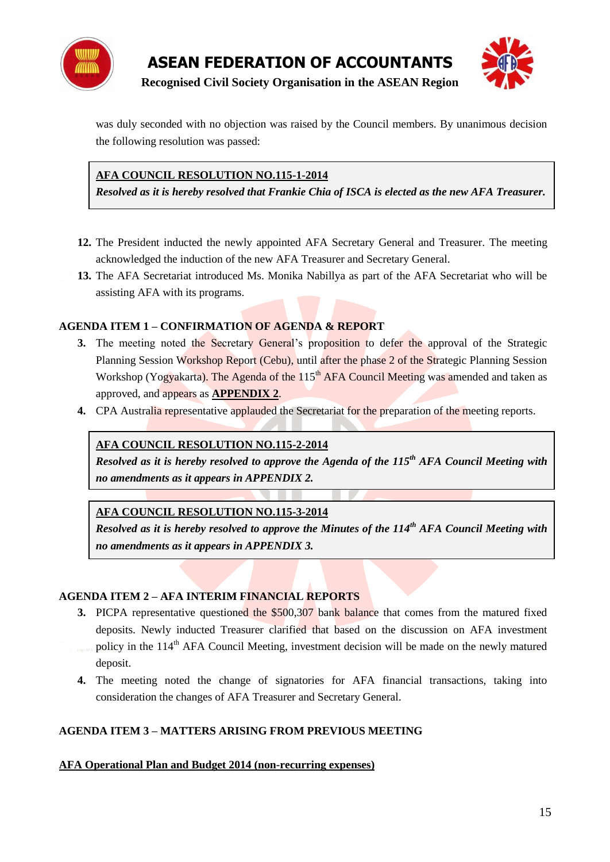

was duly seconded with no objection was raised by the Council members. By unanimous decision the following resolution was passed:

## **AFA COUNCIL RESOLUTION NO.115-1-2014**

*Resolved as it is hereby resolved that Frankie Chia of ISCA is elected as the new AFA Treasurer.*

- **12.** The President inducted the newly appointed AFA Secretary General and Treasurer. The meeting acknowledged the induction of the new AFA Treasurer and Secretary General.
- **13.** The AFA Secretariat introduced Ms. Monika Nabillya as part of the AFA Secretariat who will be assisting AFA with its programs.

### **AGENDA ITEM 1 – CONFIRMATION OF AGENDA & REPORT**

- **3.** The meeting noted the Secretary General's proposition to defer the approval of the Strategic Planning Session Workshop Report (Cebu), until after the phase 2 of the Strategic Planning Session Workshop (Yogyakarta). The Agenda of the 115<sup>th</sup> AFA Council Meeting was amended and taken as approved, and appears as **APPENDIX 2**.
- **4.** CPA Australia representative applauded the Secretariat for the preparation of the meeting reports.

#### **AFA COUNCIL RESOLUTION NO.115-2-2014**

*Resolved as it is hereby resolved to approve the Agenda of the 115th AFA Council Meeting with no amendments as it appears in APPENDIX 2.*

#### **AFA COUNCIL RESOLUTION NO.115-3-2014**

*Resolved as it is hereby resolved to approve the Minutes of the 114th AFA Council Meeting with no amendments as it appears in APPENDIX 3.*

#### **AGENDA ITEM 2 – AFA INTERIM FINANCIAL REPORTS**

- **3.** PICPA representative questioned the \$500,307 bank balance that comes from the matured fixed deposits. Newly inducted Treasurer clarified that based on the discussion on AFA investment policy in the 114<sup>th</sup> AFA Council Meeting, investment decision will be made on the newly matured deposit.
- **4.** The meeting noted the change of signatories for AFA financial transactions, taking into consideration the changes of AFA Treasurer and Secretary General.

#### **AGENDA ITEM 3 – MATTERS ARISING FROM PREVIOUS MEETING**

#### **AFA Operational Plan and Budget 2014 (non-recurring expenses)**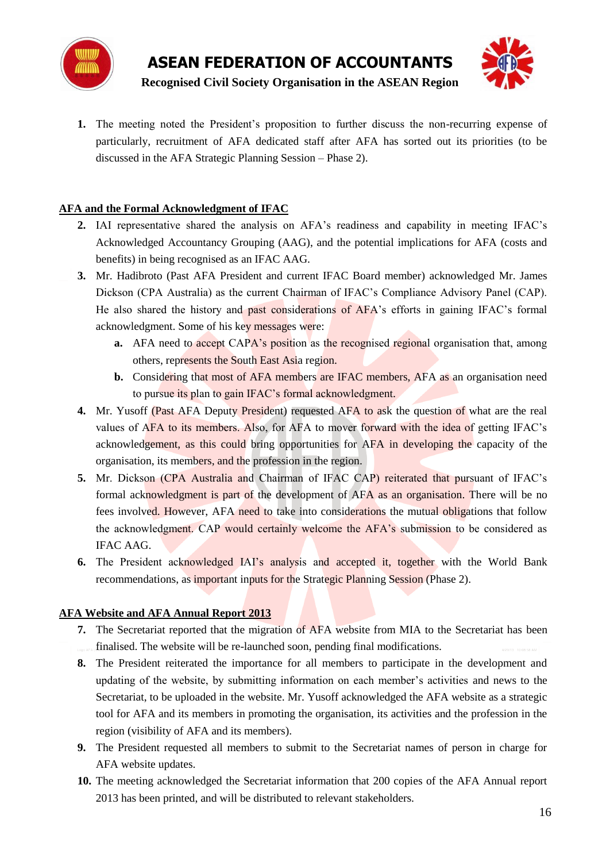



1. The meeting noted the President's proposition to further discuss the non-recurring expense of particularly, recruitment of AFA dedicated staff after AFA has sorted out its priorities (to be discussed in the AFA Strategic Planning Session – Phase 2).

#### **AFA and the Formal Acknowledgment of IFAC**

- **2.** IAI representative shared the analysis on AFA"s readiness and capability in meeting IFAC"s Acknowledged Accountancy Grouping (AAG), and the potential implications for AFA (costs and benefits) in being recognised as an IFAC AAG.
- **3.** Mr. Hadibroto (Past AFA President and current IFAC Board member) acknowledged Mr. James Dickson (CPA Australia) as the current Chairman of IFAC"s Compliance Advisory Panel (CAP). He also shared the history and past considerations of AFA"s efforts in gaining IFAC"s formal acknowledgment. Some of his key messages were:
	- **a.** AFA need to accept CAPA's position as the recognised regional organisation that, among others, represents the South East Asia region.
	- **b.** Considering that most of AFA members are IFAC members, AFA as an organisation need to pursue its plan to gain IFAC"s formal acknowledgment.
- **4.** Mr. Yusoff (Past AFA Deputy President) requested AFA to ask the question of what are the real values of AFA to its members. Also, for AFA to mover forward with the idea of getting IFAC"s acknowledgement, as this could bring opportunities for AFA in developing the capacity of the organisation, its members, and the profession in the region.
- **5.** Mr. Dickson (CPA Australia and Chairman of IFAC CAP) reiterated that pursuant of IFAC"s formal acknowledgment is part of the development of AFA as an organisation. There will be no fees involved. However, AFA need to take into considerations the mutual obligations that follow the acknowledgment. CAP would certainly welcome the AFA's submission to be considered as IFAC AAG.
- **6.** The President acknowledged IAI"s analysis and accepted it, together with the World Bank recommendations, as important inputs for the Strategic Planning Session (Phase 2).

#### **AFA Website and AFA Annual Report 2013**

- **7.** The Secretariat reported that the migration of AFA website from MIA to the Secretariat has been finalised. The website will be re-launched soon, pending final modifications.
- **8.** The President reiterated the importance for all members to participate in the development and updating of the website, by submitting information on each member"s activities and news to the Secretariat, to be uploaded in the website. Mr. Yusoff acknowledged the AFA website as a strategic tool for AFA and its members in promoting the organisation, its activities and the profession in the region (visibility of AFA and its members).
- **9.** The President requested all members to submit to the Secretariat names of person in charge for AFA website updates.
- **10.** The meeting acknowledged the Secretariat information that 200 copies of the AFA Annual report 2013 has been printed, and will be distributed to relevant stakeholders.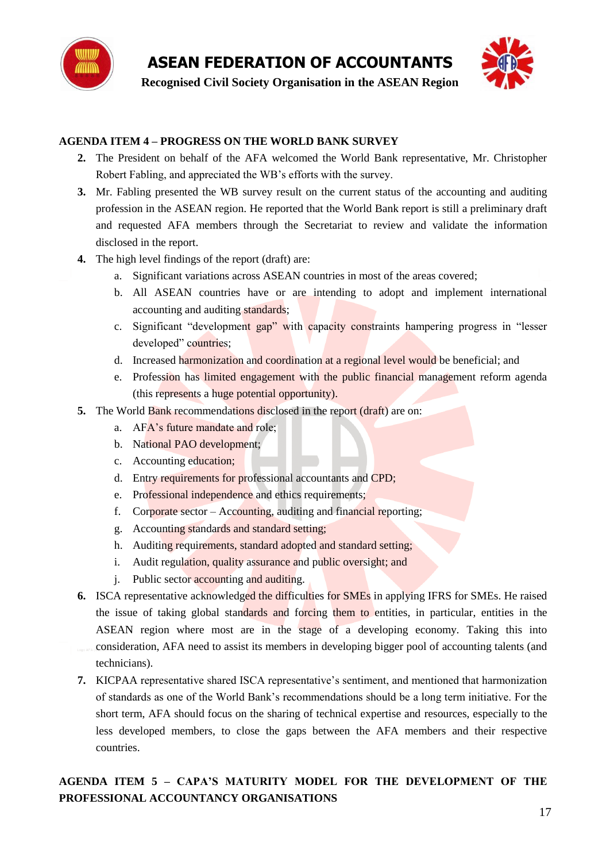

### **AGENDA ITEM 4 – PROGRESS ON THE WORLD BANK SURVEY**

- **2.** The President on behalf of the AFA welcomed the World Bank representative, Mr. Christopher Robert Fabling, and appreciated the WB"s efforts with the survey.
- **3.** Mr. Fabling presented the WB survey result on the current status of the accounting and auditing profession in the ASEAN region. He reported that the World Bank report is still a preliminary draft and requested AFA members through the Secretariat to review and validate the information disclosed in the report.
- **4.** The high level findings of the report (draft) are:
	- a. Significant variations across ASEAN countries in most of the areas covered;
	- b. All ASEAN countries have or are intending to adopt and implement international accounting and auditing standards;
	- c. Significant "development gap" with capacity constraints hampering progress in "lesser developed" countries;
	- d. Increased harmonization and coordination at a regional level would be beneficial; and
	- e. Profession has limited engagement with the public financial management reform agenda (this represents a huge potential opportunity).
- **5.** The World Bank recommendations disclosed in the report (draft) are on:
	- a. AFA"s future mandate and role;
	- b. National PAO development;
	- c. Accounting education;
	- d. Entry requirements for professional accountants and CPD;
	- e. Professional independence and ethics requirements;
	- f. Corporate sector Accounting, auditing and financial reporting;
	- g. Accounting standards and standard setting;
	- h. Auditing requirements, standard adopted and standard setting;
	- i. Audit regulation, quality assurance and public oversight; and
	- j. Public sector accounting and auditing.
- **6.** ISCA representative acknowledged the difficulties for SMEs in applying IFRS for SMEs. He raised the issue of taking global standards and forcing them to entities, in particular, entities in the ASEAN region where most are in the stage of a developing economy. Taking this into consideration, AFA need to assist its members in developing bigger pool of accounting talents (and technicians).
- **7.** KICPAA representative shared ISCA representative's sentiment, and mentioned that harmonization of standards as one of the World Bank"s recommendations should be a long term initiative. For the short term, AFA should focus on the sharing of technical expertise and resources, especially to the less developed members, to close the gaps between the AFA members and their respective countries.

# **AGENDA ITEM 5 – CAPA'S MATURITY MODEL FOR THE DEVELOPMENT OF THE PROFESSIONAL ACCOUNTANCY ORGANISATIONS**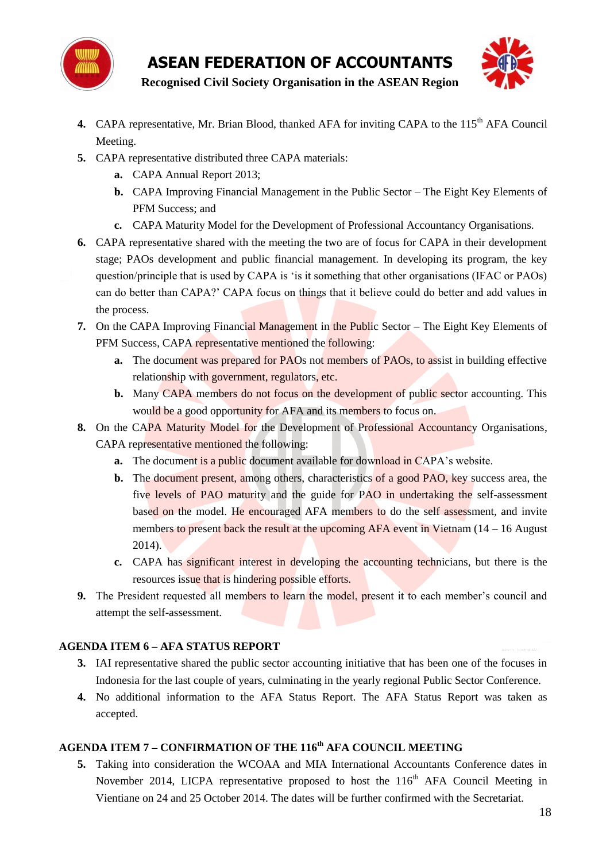



- 4. CAPA representative, Mr. Brian Blood, thanked AFA for inviting CAPA to the 115<sup>th</sup> AFA Council Meeting.
- **5.** CAPA representative distributed three CAPA materials:
	- **a.** CAPA Annual Report 2013;
	- **b.** CAPA Improving Financial Management in the Public Sector The Eight Key Elements of PFM Success; and
	- **c.** CAPA Maturity Model for the Development of Professional Accountancy Organisations.
- **6.** CAPA representative shared with the meeting the two are of focus for CAPA in their development stage; PAOs development and public financial management. In developing its program, the key question/principle that is used by CAPA is "is it something that other organisations (IFAC or PAOs) can do better than CAPA?" CAPA focus on things that it believe could do better and add values in the process.
- **7.** On the CAPA Improving Financial Management in the Public Sector The Eight Key Elements of PFM Success, CAPA representative mentioned the following:
	- **a.** The document was prepared for PAOs not members of PAOs, to assist in building effective relationship with government, regulators, etc.
	- **b.** Many CAPA members do not focus on the development of public sector accounting. This would be a good opportunity for AFA and its members to focus on.
- **8.** On the CAPA Maturity Model for the Development of Professional Accountancy Organisations, CAPA representative mentioned the following:
	- **a.** The document is a public document available for download in CAPA's website.
	- **b.** The document present, among others, characteristics of a good PAO, key success area, the five levels of PAO maturity and the guide for PAO in undertaking the self-assessment based on the model. He encouraged AFA members to do the self assessment, and invite members to present back the result at the upcoming  $AFA$  event in Vietnam ( $14 - 16$  August 2014).
	- **c.** CAPA has significant interest in developing the accounting technicians, but there is the resources issue that is hindering possible efforts.
- **9.** The President requested all members to learn the model, present it to each member's council and attempt the self-assessment.

# **AGENDA ITEM 6 – AFA STATUS REPORT**

- **3.** IAI representative shared the public sector accounting initiative that has been one of the focuses in Indonesia for the last couple of years, culminating in the yearly regional Public Sector Conference.
- **4.** No additional information to the AFA Status Report. The AFA Status Report was taken as accepted.

# **AGENDA ITEM 7 – CONFIRMATION OF THE 116th AFA COUNCIL MEETING**

**5.** Taking into consideration the WCOAA and MIA International Accountants Conference dates in November 2014, LICPA representative proposed to host the  $116<sup>th</sup>$  AFA Council Meeting in Vientiane on 24 and 25 October 2014. The dates will be further confirmed with the Secretariat.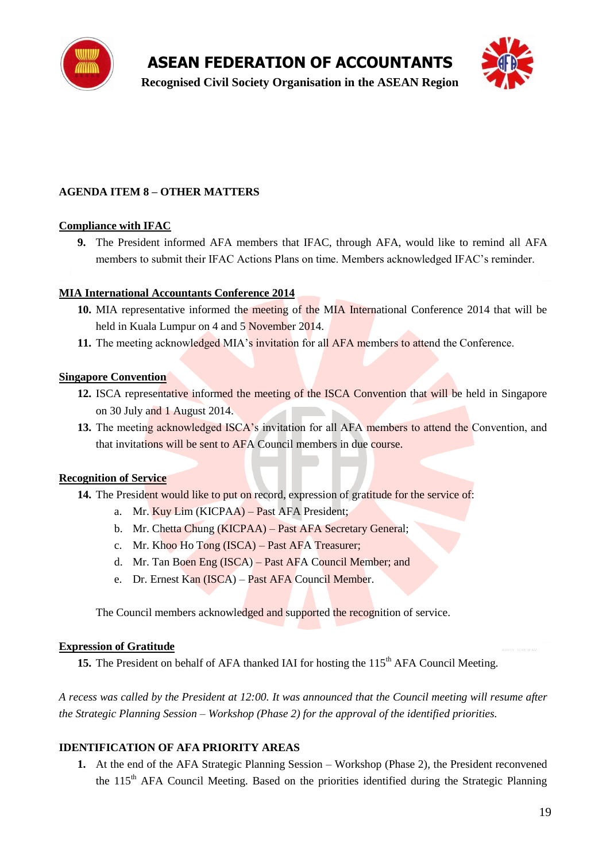

**Recognised Civil Society Organisation in the ASEAN Region**



#### **AGENDA ITEM 8 – OTHER MATTERS**

#### **Compliance with IFAC**

**9.** The President informed AFA members that IFAC, through AFA, would like to remind all AFA members to submit their IFAC Actions Plans on time. Members acknowledged IFAC"s reminder.

#### **MIA International Accountants Conference 2014**

- **10.** MIA representative informed the meeting of the MIA International Conference 2014 that will be held in Kuala Lumpur on 4 and 5 November 2014.
- 11. The meeting acknowledged MIA's invitation for all AFA members to attend the Conference.

#### **Singapore Convention**

- **12.** ISCA representative informed the meeting of the ISCA Convention that will be held in Singapore on 30 July and 1 August 2014.
- 13. The meeting acknowledged ISCA's invitation for all AFA members to attend the Convention, and that invitations will be sent to AFA Council members in due course.

#### **Recognition of Service**

- **14.** The President would like to put on record, expression of gratitude for the service of:
	- a. Mr. Kuy Lim (KICPAA) Past AFA President;
	- b. Mr. Chetta Chung (KICPAA) Past AFA Secretary General;
	- c. Mr. Khoo Ho Tong (ISCA) Past AFA Treasurer;
	- d. Mr. Tan Boen Eng (ISCA) Past AFA Council Member; and
	- e. Dr. Ernest Kan (ISCA) Past AFA Council Member.

The Council members acknowledged and supported the recognition of service.

#### **Expression of Gratitude**

15. The President on behalf of AFA thanked IAI for hosting the 115<sup>th</sup> AFA Council Meeting.

*A recess was called by the President at 12:00. It was announced that the Council meeting will resume after the Strategic Planning Session – Workshop (Phase 2) for the approval of the identified priorities.*

#### **IDENTIFICATION OF AFA PRIORITY AREAS**

**1.** At the end of the AFA Strategic Planning Session – Workshop (Phase 2), the President reconvened the 115<sup>th</sup> AFA Council Meeting. Based on the priorities identified during the Strategic Planning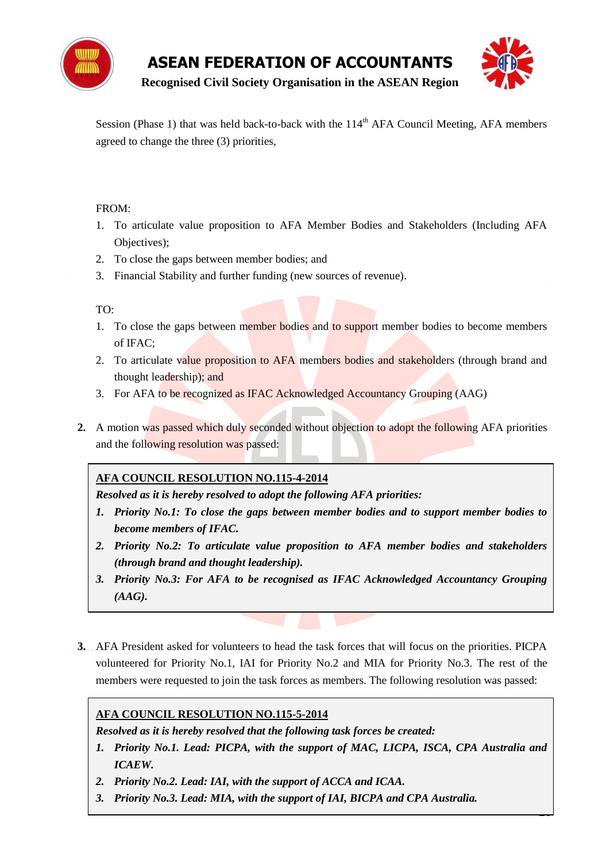

--

**Recognised Civil Society Organisation in the ASEAN Region**

Session (Phase 1) that was held back-to-back with the  $114<sup>th</sup> AFA$  Council Meeting, AFA members agreed to change the three (3) priorities,

#### FROM:

- 1. To articulate value proposition to AFA Member Bodies and Stakeholders (Including AFA Objectives);
- 2. To close the gaps between member bodies; and
- 3. Financial Stability and further funding (new sources of revenue).

#### TO:

- 1. To close the gaps between member bodies and to support member bodies to become members of IFAC;
- 2. To articulate value proposition to AFA members bodies and stakeholders (through brand and thought leadership); and
- 3. For AFA to be recognized as IFAC Acknowledged Accountancy Grouping (AAG)
- **2.** A motion was passed which duly seconded without objection to adopt the following AFA priorities and the following resolution was passed:

#### **AFA COUNCIL RESOLUTION NO.115-4-2014**

*Resolved as it is hereby resolved to adopt the following AFA priorities:*

- *1. Priority No.1: To close the gaps between member bodies and to support member bodies to become members of IFAC.*
- *2. Priority No.2: To articulate value proposition to AFA member bodies and stakeholders (through brand and thought leadership).*
- *3. Priority No.3: For AFA to be recognised as IFAC Acknowledged Accountancy Grouping (AAG).*
- **3.** AFA President asked for volunteers to head the task forces that will focus on the priorities. PICPA volunteered for Priority No.1, IAI for Priority No.2 and MIA for Priority No.3. The rest of the members were requested to join the task forces as members. The following resolution was passed:

#### **AFA COUNCIL RESOLUTION NO.115-5-2014**

*Resolved as it is hereby resolved that the following task forces be created:*

- *1. Priority No.1. Lead: PICPA, with the support of MAC, LICPA, ISCA, CPA Australia and ICAEW.*
- *2. Priority No.2. Lead: IAI, with the support of ACCA and ICAA.*
- *3. Priority No.3. Lead: MIA, with the support of IAI, BICPA and CPA Australia.*